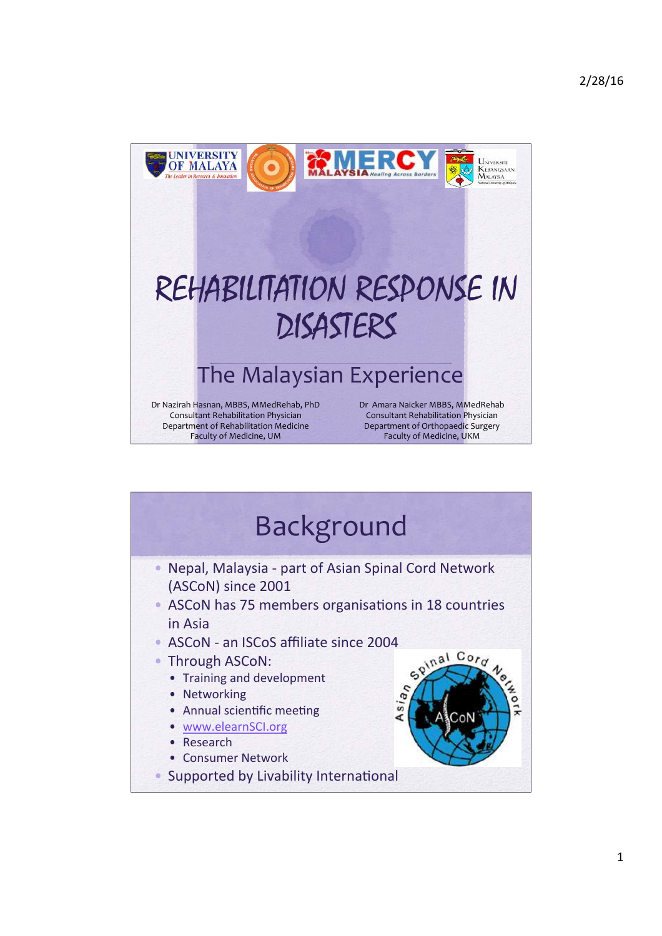

| <b>Background</b>                                                                                                                                                                                                                                                                                                                                                                                                             |
|-------------------------------------------------------------------------------------------------------------------------------------------------------------------------------------------------------------------------------------------------------------------------------------------------------------------------------------------------------------------------------------------------------------------------------|
| • Nepal, Malaysia - part of Asian Spinal Cord Network<br>(ASCoN) since 2001<br>• ASCoN has 75 members organisations in 18 countries<br>in Asia<br>• ASCoN - an ISCoS affiliate since 2004<br>Spinal Cord<br>• Through ASCoN:<br>• Training and development<br>$\mathbf{a}_p$<br>Networking<br>• Annual scientific meeting<br>• www.elearnSCI.org<br>• Research<br>• Consumer Network<br>Supported by Livability International |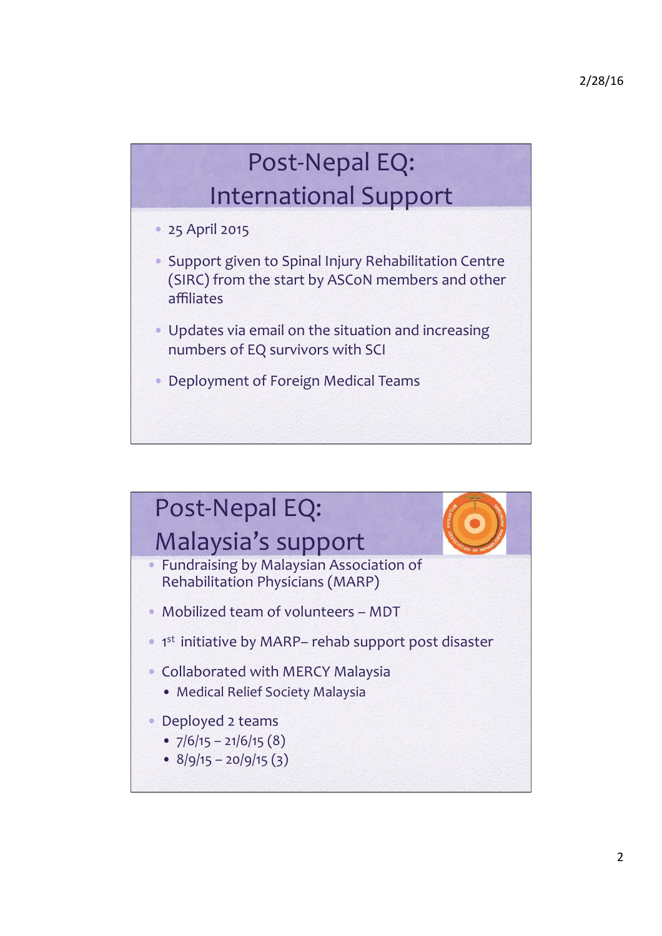### Post-Nepal EQ: International Support

• 25 April 2015

- Support given to Spinal Injury Rehabilitation Centre (SIRC) from the start by ASCoN members and other affiliates
- Updates via email on the situation and increasing numbers of EQ survivors with SCI

• Deployment of Foreign Medical Teams

# Post-Nepal EQ:

### Malaysia's support

- Fundraising by Malaysian Association of Rehabilitation Physicians (MARP)
- Mobilized team of volunteers MDT
- $\bullet$  1st initiative by MARP– rehab support post disaster
- Collaborated with MERCY Malaysia
	- Medical Relief Society Malaysia
- Deployed 2 teams
	- $7/6/15 21/6/15(8)$
	- $8\frac{9}{15} \frac{20}{9}{15}$  (3)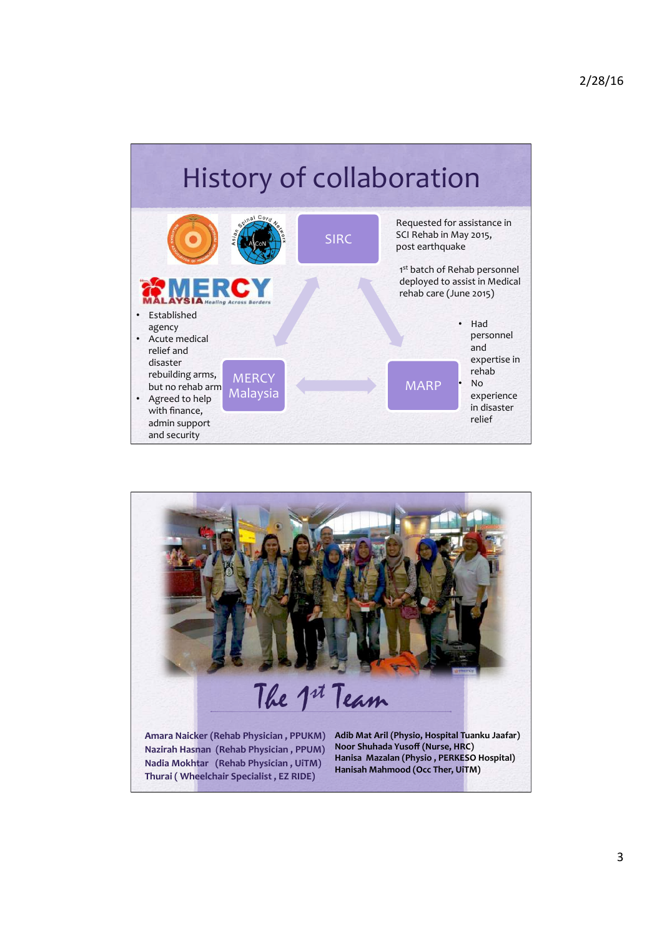

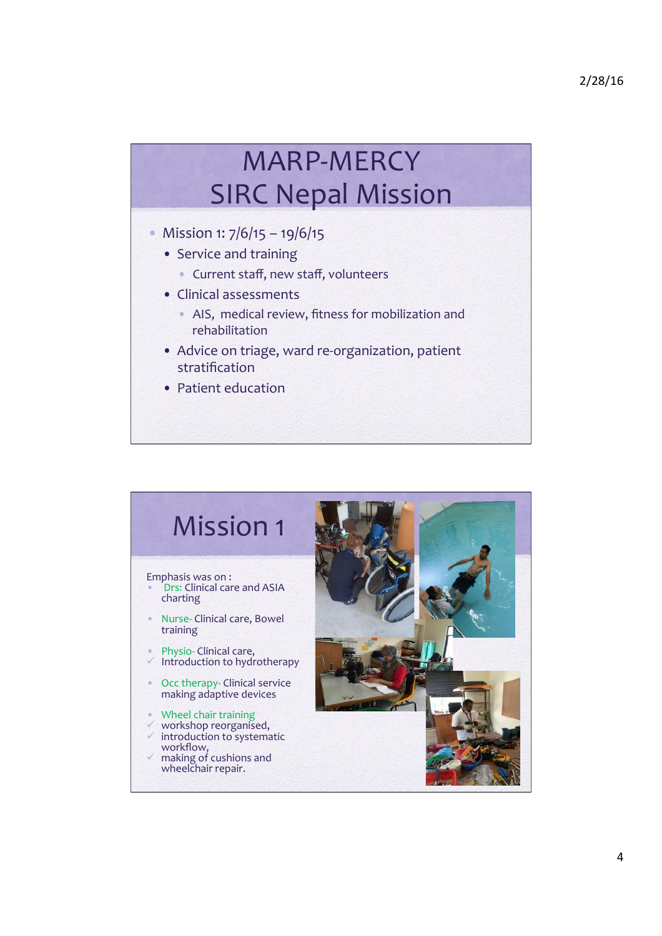### MARP-MERCY **SIRC Nepal Mission**

### • Mission 1:  $7/6/15 - 19/6/15$

- Service and training
	- Current staff, new staff, volunteers
- Clinical assessments
	- AIS, medical review, fitness for mobilization and rehabilitation
- Advice on triage, ward re-organization, patient stratification
- Patient education

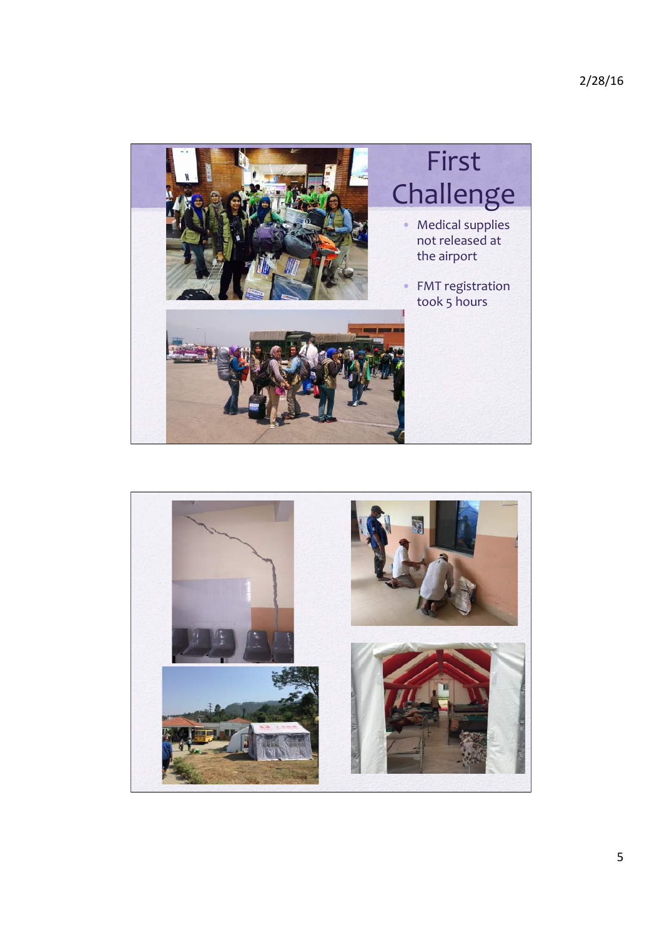

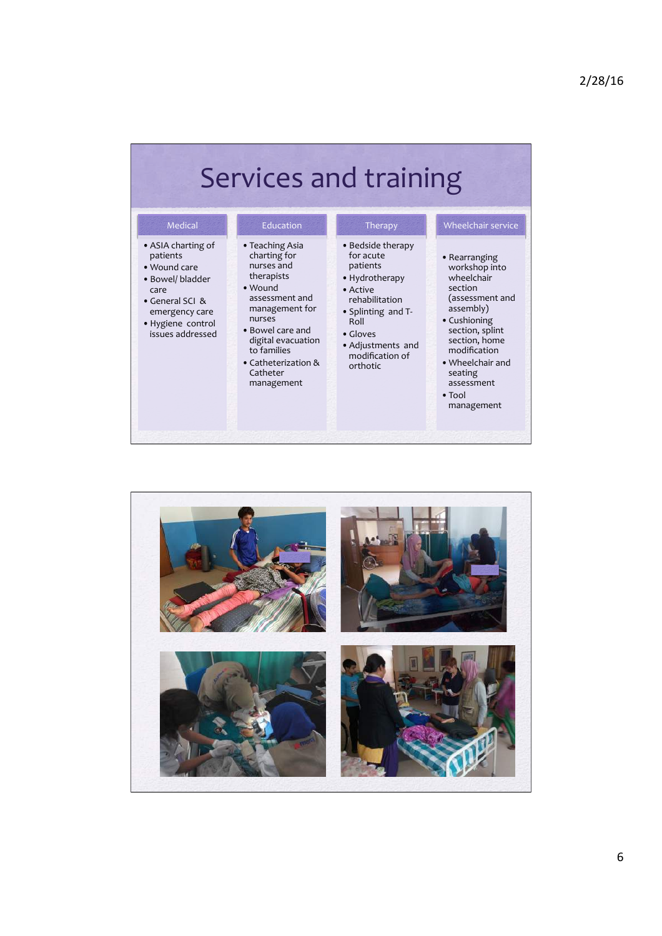### Services and training

#### Medical

- ASIA charting of patients
- Wound care
- Bowel/ bladder care
- General SCI & emergency care
- Hygiene control issues addressed
	- Bowel care and digital evacuation to families
		- •Catheterization & Catheter management

Education • Teaching Asia charting for nurses and therapists •Wound 

assessment and management for

nurses 

• Bedside therapy for acute patients 

Therapy 

- •Hydrotherapy •Active rehabilitation
- Splinting and T-
- Roll •Gloves
- Adjustments and modification of orthotic
- •Rearranging workshop into wheelchair section (assessment and assembly) •Cushioning section, splint section, home modification

Wheelchair service

- Wheelchair and seating assessment •Tool
- management

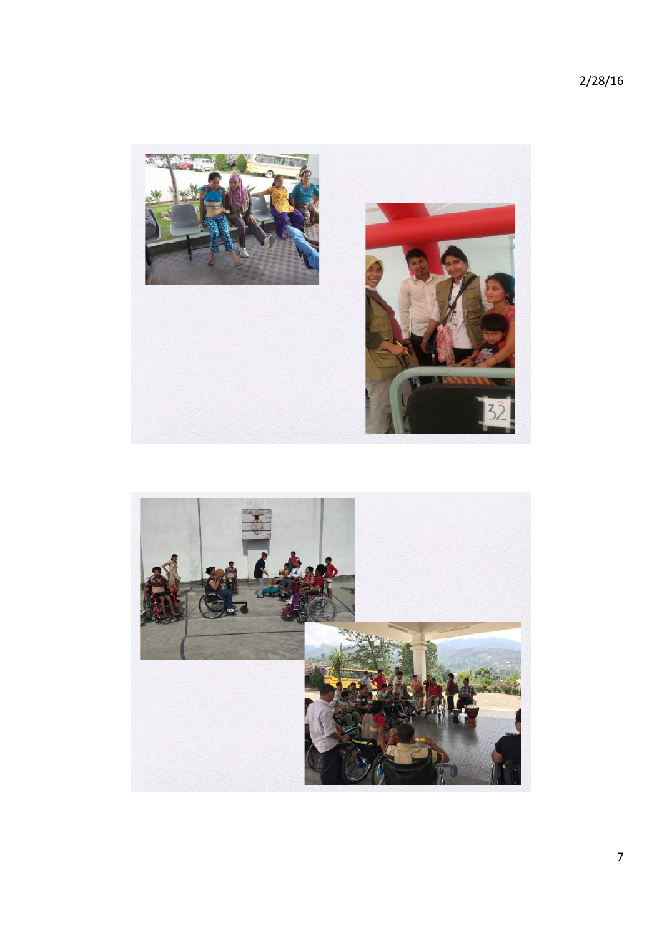

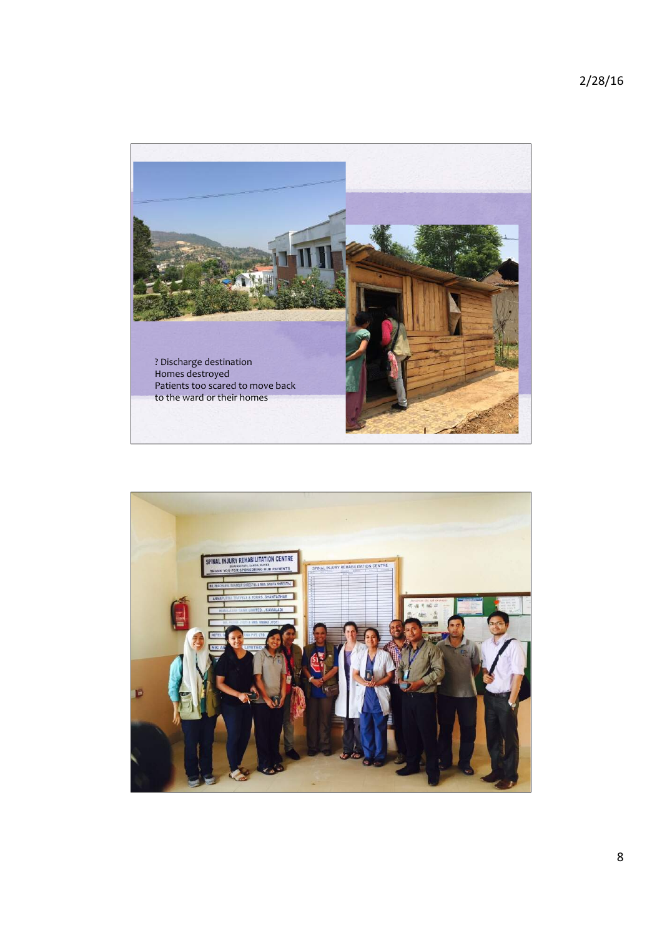

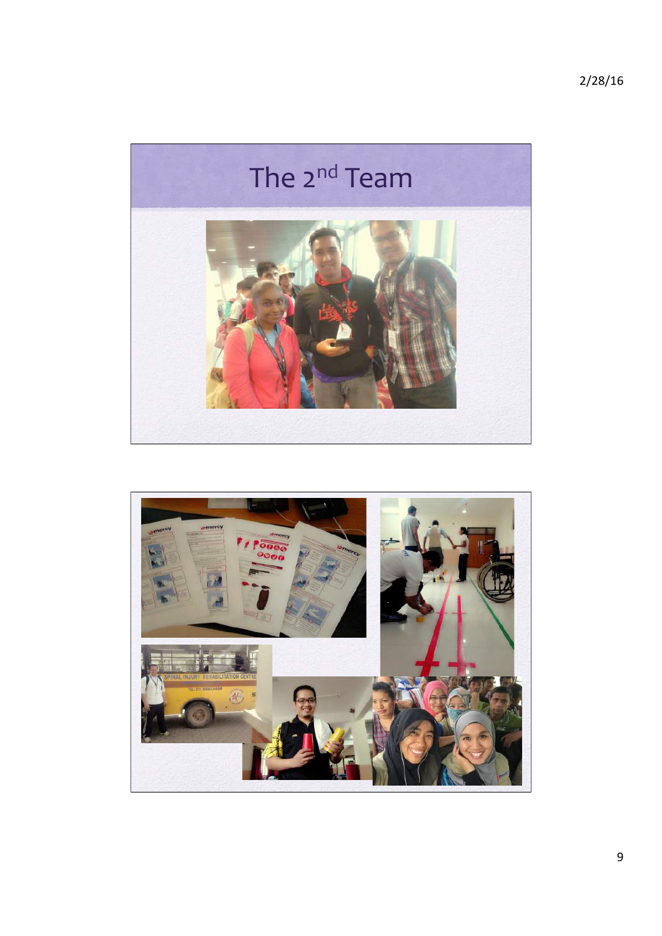

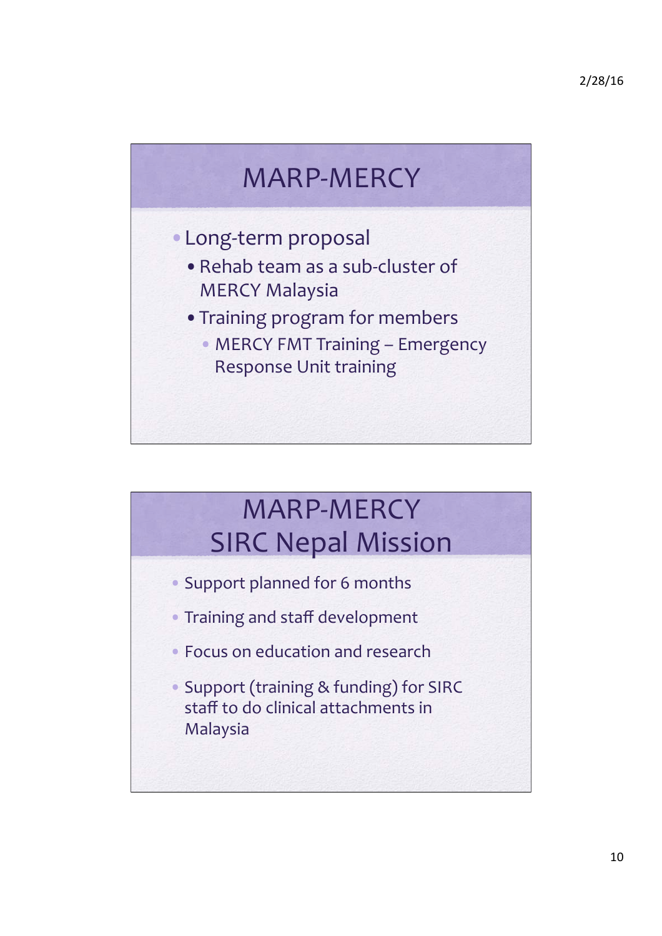

## MARP-MERCY **SIRC Nepal Mission**

- Support planned for 6 months
- Training and staff development
- Focus on education and research
- Support (training & funding) for SIRC staff to do clinical attachments in Malaysia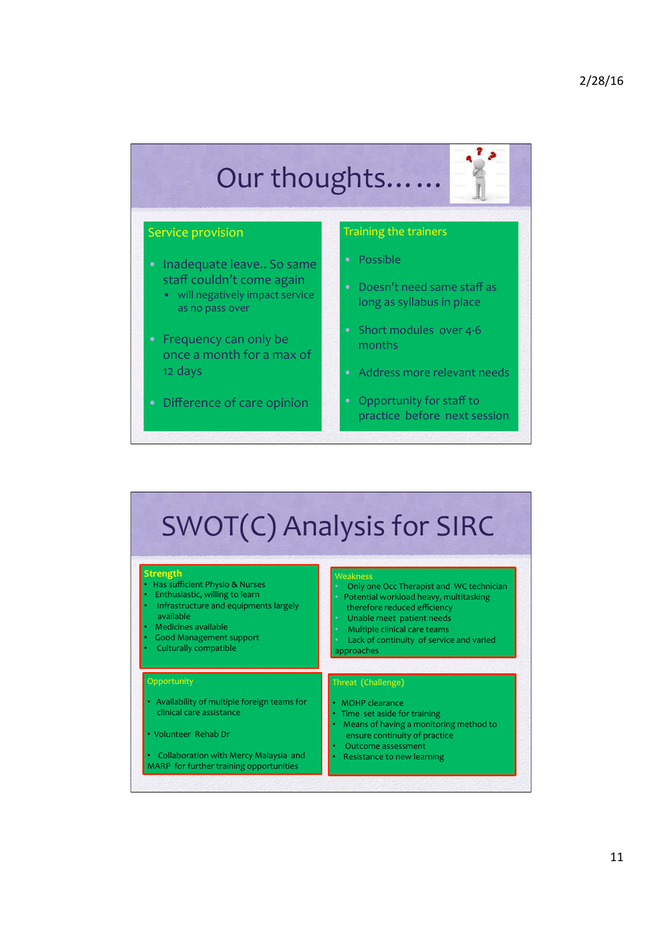

## SWOT(C) Analysis for SIRC

#### **Strength**

- Has sufficient Physio & Nurses
- **Enthusiastic, willing to learn**
- Infrastructure and equipments largely available
- Medicines available
- Good Management support
- Culturally compatible

#### **Opportunity**

- Availability of multiple foreign teams for clinical care assistance
- Volunteer Rehab Dr
- Collaboration with Mercy Malaysia and MARP for further training opportunities

#### Only one Occ Therapist and WC technician

- Potential workload heavy, multitasking
- therefore reduced efficiency
- Unable meet patient needs
- Multiple clinical care teams
- Lack of continuity of service and varied approaches

#### Threat (Challenge)

- MOHP clearance
- Time set aside for training
- Means of having a monitoring method to ensure continuity of practice
- Outcome assessment
- Resistance to new learning